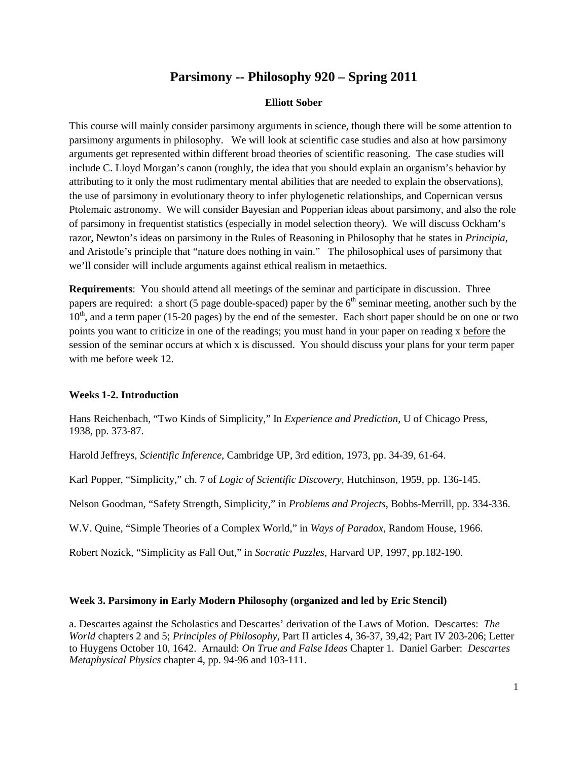# **Parsimony -- Philosophy 920 – Spring 2011**

## **Elliott Sober**

This course will mainly consider parsimony arguments in science, though there will be some attention to parsimony arguments in philosophy. We will look at scientific case studies and also at how parsimony arguments get represented within different broad theories of scientific reasoning. The case studies will include C. Lloyd Morgan's canon (roughly, the idea that you should explain an organism's behavior by attributing to it only the most rudimentary mental abilities that are needed to explain the observations), the use of parsimony in evolutionary theory to infer phylogenetic relationships, and Copernican versus Ptolemaic astronomy. We will consider Bayesian and Popperian ideas about parsimony, and also the role of parsimony in frequentist statistics (especially in model selection theory). We will discuss Ockham's razor, Newton's ideas on parsimony in the Rules of Reasoning in Philosophy that he states in *Principia*, and Aristotle's principle that "nature does nothing in vain." The philosophical uses of parsimony that we'll consider will include arguments against ethical realism in metaethics.

**Requirements**: You should attend all meetings of the seminar and participate in discussion. Three papers are required: a short (5 page double-spaced) paper by the  $6<sup>th</sup>$  seminar meeting, another such by the  $10<sup>th</sup>$ , and a term paper (15-20 pages) by the end of the semester. Each short paper should be on one or two points you want to criticize in one of the readings; you must hand in your paper on reading x before the session of the seminar occurs at which x is discussed. You should discuss your plans for your term paper with me before week 12.

## **Weeks 1-2. Introduction**

Hans Reichenbach, "Two Kinds of Simplicity," In *Experience and Prediction*, U of Chicago Press, 1938, pp. 373-87.

Harold Jeffreys, *Scientific Inference*, Cambridge UP, 3rd edition, 1973, pp. 34-39, 61-64.

Karl Popper, "Simplicity," ch. 7 of *Logic of Scientific Discovery*, Hutchinson, 1959, pp. 136-145.

Nelson Goodman, "Safety Strength, Simplicity," in *Problems and Projects*, Bobbs-Merrill, pp. 334-336.

W.V. Quine, "Simple Theories of a Complex World," in *Ways of Paradox*, Random House, 1966.

Robert Nozick, "Simplicity as Fall Out," in *Socratic Puzzles*, Harvard UP, 1997, pp.182-190.

#### **Week 3. Parsimony in Early Modern Philosophy (organized and led by Eric Stencil)**

a. Descartes against the Scholastics and Descartes' derivation of the Laws of Motion. Descartes: *The World* chapters 2 and 5; *Principles of Philosophy*, Part II articles 4, 36-37, 39,42; Part IV 203-206; Letter to Huygens October 10, 1642. Arnauld: *On True and False Ideas* Chapter 1. Daniel Garber: *Descartes Metaphysical Physics* chapter 4, pp. 94-96 and 103-111.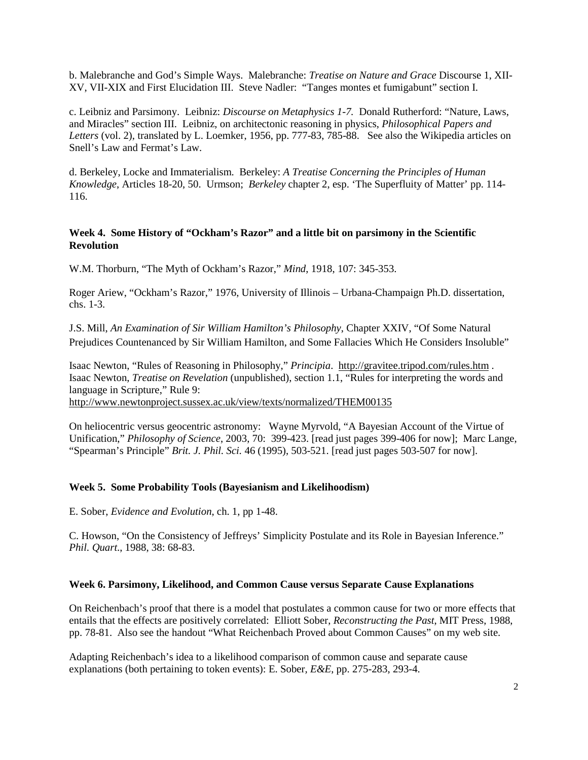b. Malebranche and God's Simple Ways.Malebranche: *Treatise on Nature and Grace* Discourse 1, XII-XV, VII-XIX and First Elucidation III. Steve Nadler: "Tanges montes et fumigabunt" section I.

c. Leibniz and Parsimony.Leibniz: *Discourse on Metaphysics 1-7.* Donald Rutherford: "Nature, Laws, and Miracles" section III. Leibniz, on architectonic reasoning in physics, *Philosophical Papers and Letters* (vol. 2), translated by L. Loemker, 1956, pp. 777-83, 785-88. See also the Wikipedia articles on Snell's Law and Fermat's Law.

d. Berkeley, Locke and Immaterialism. Berkeley: *A Treatise Concerning the Principles of Human Knowledge*, Articles 18-20, 50. Urmson; *Berkeley* chapter 2, esp. 'The Superfluity of Matter' pp. 114- 116.

# **Week 4. Some History of "Ockham's Razor" and a little bit on parsimony in the Scientific Revolution**

W.M. Thorburn, "The Myth of Ockham's Razor," *Mind*, 1918, 107: 345-353.

Roger Ariew, "Ockham's Razor," 1976, University of Illinois – Urbana-Champaign Ph.D. dissertation, chs. 1-3.

J.S. Mill, *An Examination of Sir William Hamilton's Philosophy*, Chapter XXIV, "Of Some Natural Prejudices Countenanced by Sir William Hamilton, and Some Fallacies Which He Considers Insoluble"

Isaac Newton, "Rules of Reasoning in Philosophy," *Principia*. <http://gravitee.tripod.com/rules.htm> . Isaac Newton, *Treatise on Revelation* (unpublished), section 1.1, "Rules for interpreting the words and language in Scripture," Rule 9:

<http://www.newtonproject.sussex.ac.uk/view/texts/normalized/THEM00135>

On heliocentric versus geocentric astronomy: Wayne Myrvold, "A Bayesian Account of the Virtue of Unification," *Philosophy of Science*, 2003, 70: 399-423. [read just pages 399-406 for now]; Marc Lange, "Spearman's Principle" *Brit. J. Phil. Sci.* 46 (1995), 503-521. [read just pages 503-507 for now].

## **Week 5. Some Probability Tools (Bayesianism and Likelihoodism)**

E. Sober, *Evidence and Evolution*, ch. 1, pp 1-48.

C. Howson, "On the Consistency of Jeffreys' Simplicity Postulate and its Role in Bayesian Inference." *Phil. Quart.*, 1988, 38: 68-83.

## **Week 6. Parsimony, Likelihood, and Common Cause versus Separate Cause Explanations**

On Reichenbach's proof that there is a model that postulates a common cause for two or more effects that entails that the effects are positively correlated: Elliott Sober, *Reconstructing the Past*, MIT Press, 1988, pp. 78-81. Also see the handout "What Reichenbach Proved about Common Causes" on my web site.

Adapting Reichenbach's idea to a likelihood comparison of common cause and separate cause explanations (both pertaining to token events): E. Sober*, E&E*, pp. 275-283, 293-4.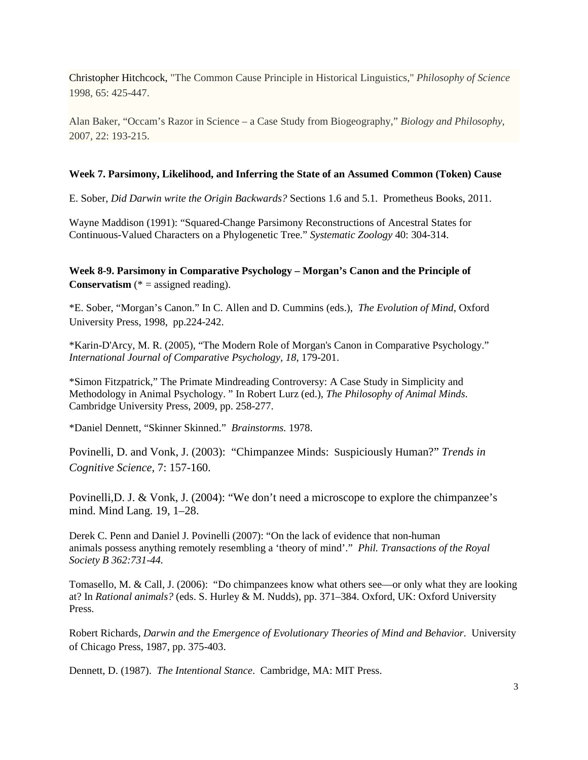Christopher Hitchcock, "The Common Cause Principle in Historical Linguistics," *Philosophy of Science* 1998, 65: 425-447.

Alan Baker, "Occam's Razor in Science – a Case Study from Biogeography," *Biology and Philosophy*, 2007, 22: 193-215.

### **Week 7. Parsimony, Likelihood, and Inferring the State of an Assumed Common (Token) Cause**

E. Sober, *Did Darwin write the Origin Backwards?* Sections 1.6 and 5.1. Prometheus Books, 2011.

Wayne Maddison (1991): "Squared-Change Parsimony Reconstructions of Ancestral States for Continuous-Valued Characters on a Phylogenetic Tree." *Systematic Zoology* 40: 304-314.

**Week 8-9. Parsimony in Comparative Psychology – Morgan's Canon and the Principle of Conservatism** (\* = assigned reading).

\*E. Sober, "Morgan's Canon." In C. Allen and D. Cummins (eds.), *The Evolution of Mind*, Oxford University Press, 1998, pp.224-242.

\*Karin-D'Arcy, M. R. (2005), "The Modern Role of Morgan's Canon in Comparative Psychology." *International Journal of Comparative Psychology, 18*, 179-201.

\*Simon Fitzpatrick," The Primate Mindreading Controversy: A Case Study in Simplicity and Methodology in Animal Psychology. " In Robert Lurz (ed.), *The Philosophy of Animal Minds*. Cambridge University Press, 2009, pp. 258-277.

\*Daniel Dennett, "Skinner Skinned." *Brainstorms.* 1978.

Povinelli, D. and Vonk, J. (2003): "Chimpanzee Minds: Suspiciously Human?" *Trends in Cognitive Science*, 7: 157-160.

Povinelli,D. J. & Vonk, J. (2004): "We don't need a microscope to explore the chimpanzee's mind. Mind Lang. 19, 1–28.

Derek C. Penn and Daniel J. Povinelli (2007): "On the lack of evidence that non-human animals possess anything remotely resembling a 'theory of mind'." *Phil. Transactions of the Royal Society B 362:731-44.*

Tomasello, M. & Call, J. (2006): "Do chimpanzees know what others see—or only what they are looking at? In *Rational animals?* (eds. S. Hurley & M. Nudds), pp. 371–384. Oxford, UK: Oxford University Press.

Robert Richards, *Darwin and the Emergence of Evolutionary Theories of Mind and Behavior*. University of Chicago Press, 1987, pp. 375-403.

Dennett, D. (1987). *The Intentional Stance*. Cambridge, MA: MIT Press.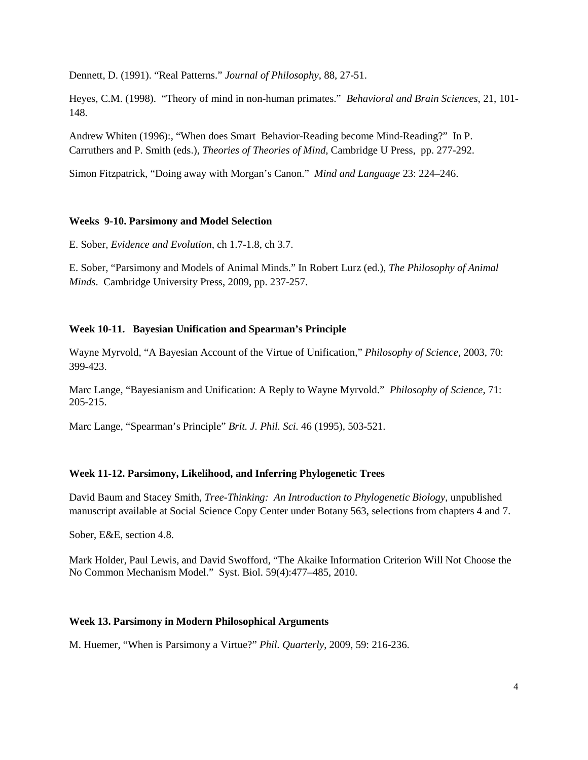Dennett, D. (1991). "Real Patterns." *Journal of Philosophy*, 88, 27-51.

Heyes, C.M. (1998). "Theory of mind in non-human primates." *Behavioral and Brain Sciences*, 21, 101- 148.

Andrew Whiten (1996):, "When does Smart Behavior-Reading become Mind-Reading?" In P. Carruthers and P. Smith (eds.), *Theories of Theories of Mind*, Cambridge U Press, pp. 277-292.

Simon Fitzpatrick, "Doing away with Morgan's Canon." *Mind and Language* 23: 224–246.

#### **Weeks 9-10. Parsimony and Model Selection**

E. Sober*, Evidence and Evolution*, ch 1.7-1.8, ch 3.7.

E. Sober, "Parsimony and Models of Animal Minds." In Robert Lurz (ed.), *The Philosophy of Animal Minds*. Cambridge University Press, 2009, pp. 237-257.

## **Week 10-11. Bayesian Unification and Spearman's Principle**

Wayne Myrvold, "A Bayesian Account of the Virtue of Unification," *Philosophy of Science*, 2003, 70: 399-423.

Marc Lange, "Bayesianism and Unification: A Reply to Wayne Myrvold." *Philosophy of Science*, 71: 205-215.

Marc Lange, "Spearman's Principle" *Brit. J. Phil. Sci.* 46 (1995), 503-521.

## **Week 11-12. Parsimony, Likelihood, and Inferring Phylogenetic Trees**

David Baum and Stacey Smith, *Tree-Thinking: An Introduction to Phylogenetic Biology*, unpublished manuscript available at Social Science Copy Center under Botany 563, selections from chapters 4 and 7.

Sober, E&E, section 4.8.

Mark Holder, Paul Lewis, and David Swofford, "The Akaike Information Criterion Will Not Choose the No Common Mechanism Model." Syst. Biol. 59(4):477–485, 2010.

#### **Week 13. Parsimony in Modern Philosophical Arguments**

M. Huemer, "When is Parsimony a Virtue?" *Phil. Quarterly*, 2009, 59: 216-236.